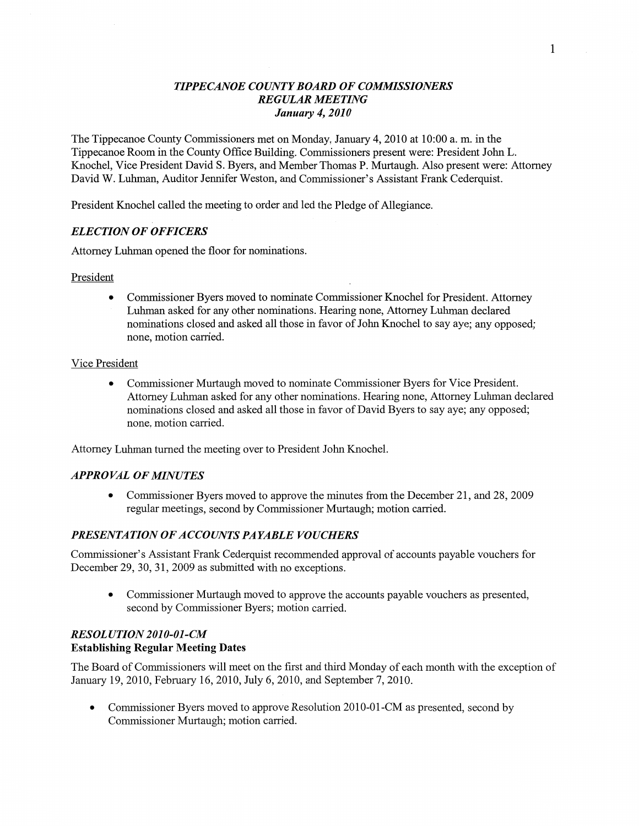## **TIPPECANOE COUNT** *Y* **BOARD OF** *COMMISSIONERS TIPPECANOE COIHVTY BOARD* OF *COWSSIONERS REGULAR MEETING*  **REGULAR MEETING** *January* **4,** *2010 January* 4, *2010*

The Tippecanoe County Commissioners met on Monday, January 4, 2010 at 10:00 a.m. in the **Tippecanoe Room in the County Office** Building. **Commissioners present were: President John L.**  Tippecanoe Room in the County Office Building. Commissioners present were: President John L. Knochel, Vice President David S. Byers, and Member Thomas P. Murtaugh. Also present were: Attorney David W. Luhman, Auditor Jennifer Weston, and Commissioner's Assistant Frank Cederquist.

President Knochel called the meeting to order and led the Pledge of Allegiance.

# *ELECTION* **OF** *OFFICERS ELECTION* OF *OFFICERS*

**Attorney Luhman opened the floor for nominations.**  Attorney **Luhman** opened the floor for nominations.

## **President President**

**0 Commissioner Byers moved to nominate Commissioner Knochel for President. Attorney 0** Commissioner Byers **moved** to nominate **Commissioner Knochel** for President. Attorney ' **Luhman asked for any other nominations. Hearing none, Attorney Luhman declared Luhman** asked for any **other nominations.** Hearing **none, Attorney Luhman** declared **nominations closed and asked all those in favor of John Knochel to say aye; any opposed; nominations** closed and asked all those in favor of John **Knochel** to say aye; any opposed; **none, motion canied. none, motion** carried.

## **Vice President**  Vice President

**•** Commissioner Murtaugh moved to nominate Commissioner Byers for Vice President. **Attorney Luhman asked for any other nominations. Hearing none, Attorney Luhman declared**  Attorney Luhman asked for any other nominations. Hearing none, Attorney Luhman declared **nominations closed and asked all those in favor of David Byers to say aye; any opposed;**  nominations closed and asked all those in favor of David Byers to say aye; any opposed; **none, motion carried.**  none, motion carried.

**Attorney Luhman turned the meeting over to President John Knochel.**  Attomey Luhman turned the meeting over to President John **Knochel.** 

# **APPROVAL OF MNUTES**  *APPROVAL* OF *MINUTES*

• Commissioner Byers moved to approve the minutes from the December 21, and 28, 2009 **regular meetings, second by Commissioner Murtaugh; motion canied.**  regular meetings, second by Commissioner Murtaugh; **motion** carried.

# **PRESENTATION OF ACCOUNTS PA YABLE VOUCHERS**  *PRESENTATION* OF *ACCOUNTS* PA *YABLE VOUCHERS*

Commissioner's Assistant Frank Cederquist recommended approval of accounts payable vouchers for **December 29, 30, 31, 2009 as submitted with no exceptions.**  December 29, 30, 31, 2009 as submitted with no exceptions.

**•** Commissioner Murtaugh moved to approve the accounts payable vouchers as presented, **second by Commissioner Byers; motion carried.**  second by Commissioner Byers; **motion** carried.

# *RESOL UTION* **2010-01-CM**  *RESOL UTION 2010-01-CM*  **Establishing Regular Meeting Dates Establishing Regular Meeting Dates**

The Board of Commissioners will meet on the first and third Monday of each month with the exception of **January 19, 2010, February 16, 2010, July 6, 2010, and September 7, 2010.**  January 19, 2010, February 16, 2010, July 6, 2010, and September 7, 2010.

• Commissioner Byers moved to approve Resolution 2010-01-CM as presented, second by **Commissioner Murtaugh; motion carried.**  Commissioner Murtaugh; **motion** carried.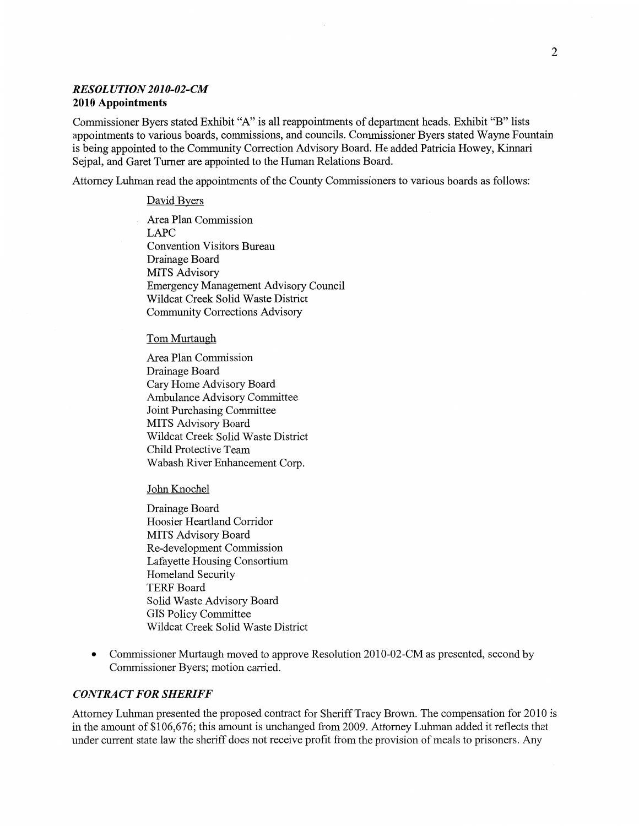### **RESOL** *UTION* **2010-02-CM**  *RESOL UTION 2010-02-CM*  **2010 Appointments 2010 Appointments**

Commissioner Byers stated Exhibit "A" is all reappointments of department heads. Exhibit "B" lists appointments to various boards, commissions, and councils. Commissioner Byers stated Wayne Fountain **is being appointed to the Community Correction Advisory Board. He added Patricia Howey, Kinnari**  is being appointed to the Community Correction Advisory Board. He added Patricia Howey, **Kinnari Sejpal, and Garet Turner are appointed to the Human Relations Board.**  Sejpal, and Garet Turner are appointed to the Human Relations Board.

**Attorney Luhman read the appointments of the County Commissioners to various boards as follows:**  Attorney **Luhman** read the **appointments** of the County Commissioners to various boards as follows:

#### **David Byers**  David Byers

Area Plan Commission **LAPC**  LAPC **Convention Visitors Bureau**  Convention Visitors Bureau **Drainage Board**  Drainage Board **MITS Advisory**  MITS Advisory **Emergency Management Advisory Council**  Emergency Management Advisory **Council Wildcat Creek Solid Waste District**  Wildcat Creek Solid Waste District **Community Corrections Advisory Community** Corrections Advisory

#### **Tom Murtaugh**

**Area Plan Commission**  Area Plan Commission **Drainage Board**  Drainage Board **Cary Home Advisory Board**  Cary Home Advisory Board **Ambulance Advisory Committee**  Ambulance Advisory Committee **Joint Purchasing Committee**  Joint Purchasing Committee **MITS Advisory Board MITS** Advisory Board **Wildcat Creek Solid Waste District**  Wildcat Creek Solid Waste District **Child Protective Team**  Child Protective Team **Wabash River Enhancement Corp.**  Wabash River Enhancement Corp.

**John Knochel**  John Knochel

**Drainage Board**  Drainage Board **Hoosier Heartland Corridor**  Hoosier Heartland Corridor **MITS Advisory Board Re-development Commission MITS** Advisory Board Re—development Commission **Lafayette Housing Consortium**  Lafayette Housing Consortium **Homeland Security**  Homeland Security **TERF Board**  TERF Board **Solid Waste Advisory Board**  Solid Waste Advisory Board **GIS Policy Committee**  GIS Policy Committee **Wildcat Creek Solid Waste District**  Wildcat Creek Solid Waste Distn'ct

• Commissioner Murtaugh moved to approve Resolution 2010-02-CM as presented, second by **Commissioner Byers; motion carried.**  Commissioner Byers; **motion** carried.

#### **CONTRACT FOR SHERIFF**  *CONTRACT* FOR *SHERIFF*

Attorney Luhman presented the proposed contract for Sheriff Tracy Brown. The compensation for 2010 is in the amount of \$106,676; this amount is unchanged from 2009. Attorney Luhman added it reflects that under current state law the sheriff does not receive profit from the provision of meals to prisoners. Any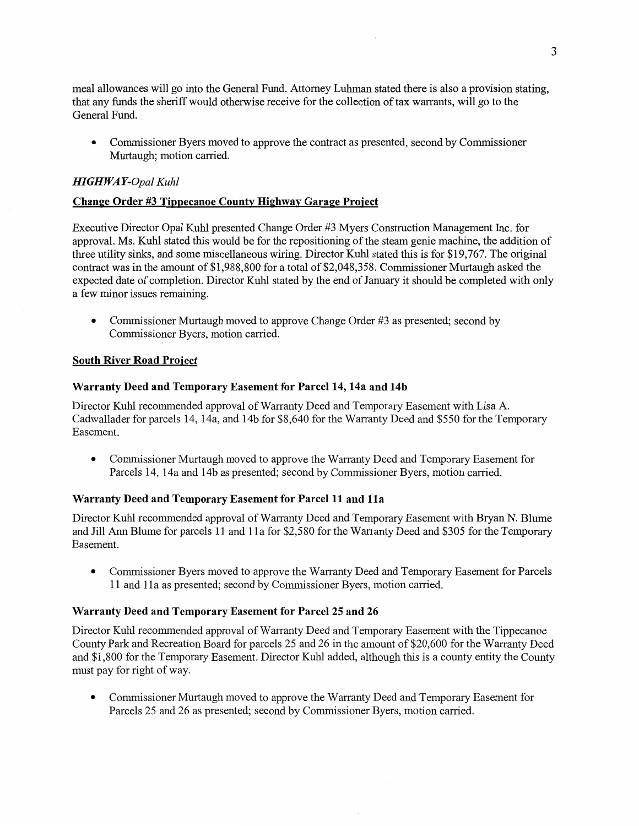meal allowances will go into the General Fund. Attorney Luhman stated there is also a provision stating, that any funds the sheriff would otherwise receive for the collection of tax warrants, will go to the **that** any **funds** the sheriff would otherwise receive for the collection of tax warrants, will go to the General Fund. General **Fund.** 

0 Commissioner Byers moved to approve the contract as presented, second by Commissioner **0 Commissioner** Byers moved to approve the contract as presented, **second** by **Commissioner**  Murtaugh; motion carried. Murtaugh; **motion** carried.

# HI GHWA Y-Opal Kuhl *HIGH WAY-Opal Kuhl*

## **Change Order #3 Tippecanoe County Highway Garage Project**

Executive Director Opal Kuhl presented Change Order #3 Myers Construction Management Inc. for Executive Director Opal Kuhl presented Change Order #3 Myers Construction Management **Inc.** for approval. Ms. Kuhl stated this would be for the repositioning of the steam genie machine, the addition of three utility sinks, and some miscellaneous wiring. Director Kuhl stated this is for \$19,767. The original contract was in the amount of \$1,988,800 for a total of \$2,048,358. Commissioner Murtaugh asked the expected date of completion. Director Kuhl stated by the end of January it should be completed with only a few minor issues remaining. three utility sinks, and some miscellaneous wiring. Director Kuhl stated this is for \$19,767. The original contract was in the amount of \$1,988,800 for a total of \$2,048,358. Commissioner Murtaugh asked the expected date o

• Commissioner Murtaugh moved to approve Change Order #3 as presented; second by Commissioner Byers, motion carried. **Commissioner** Byers, **motion** cam'ed.

## South River Road Project **South River Road Project**

#### Warranty Deed and Temporary Easement for Parcel 14, 14a and 14b

**Warranty Deed and Temporary Easement for Parcel 14, 14a and 14b<br>Director Kuhl recommended approval of Warranty Deed and Temporary Easement with Lisa A.** Cadwallader for parcels 14, 14a, and 14b for \$8,640 for the Warranty Deed and \$550 for the Temporary Cadwallader for parcels 14, 14a, and 14b for \$8,640 for the Warranty Deed and \$550 for the Temporary Basement. **Basement.** 

**•** Commissioner Murtaugh moved to approve the Warranty Deed and Temporary Easement for Parcels 14, 14a and 14b as presented; second by Commissioner Byers, motion can'ied. Parcels 14, 14a and 14b as presented; second by Commissioner Byers, **motion** carried.

## Warranty Deed and Temporary Easement for Parcel 11 and 11a

**Warranty Deed and Temporary Easement for Parcel 11 and 11a**<br>Director Kuhl recommended approval of Warranty Deed and Temporary Easement with Bryan N. Blume and Jill Ann Blume for parcels 11 and 11a for \$2,580 for the Warranty Deed and \$305 for the Temporary and Jill Ann Blume for parcels 11 and 11a for \$2,580 for the Warranty Deed and \$305 for the Temporary Easement. Easement.

**•** Commissioner Byers moved to approve the Warranty Deed and Temporary Easement for Parcels 11 and 11a as presented; second by Commissioner Byers, motion carried. 11 and 11a as presented; second by Commissioner Byers, motion carried.

## Warranty Deed and Temporary Easement for Parcel 25 and 26 **Warranty Deed** and **Temporary Easement** for **Parcel** 25 and 26

Director Kuhl recommended approval of Warranty Deed and Temporary Easement with the Tippecanoe County Park and Recreation Board for parcels 25 and 26 in the amount of \$20,600 for the Warranty Deed and \$1,800 for the Temporary Easement. Director Kuhl added, although this is a county entity the County must pay for right of way. **must** pay for right of way. Director Kuhl recommended approval of Warranty Deed and Temporary Easement with the Tippecanoe<br>County Park and Recreation Board for parcels 25 and 26 in the amount of \$20,600 for the Warranty Deed<br>and \$1,800 for the Tempor

• Commissioner Murtaugh moved to approve the Warranty Deed and Temporary Easement for Parcels 25 and 26 as presented; second by Commissioner Byers, motion carried. Parcels 25 and 26 as presented; second by Commissioner Byers, motion carried.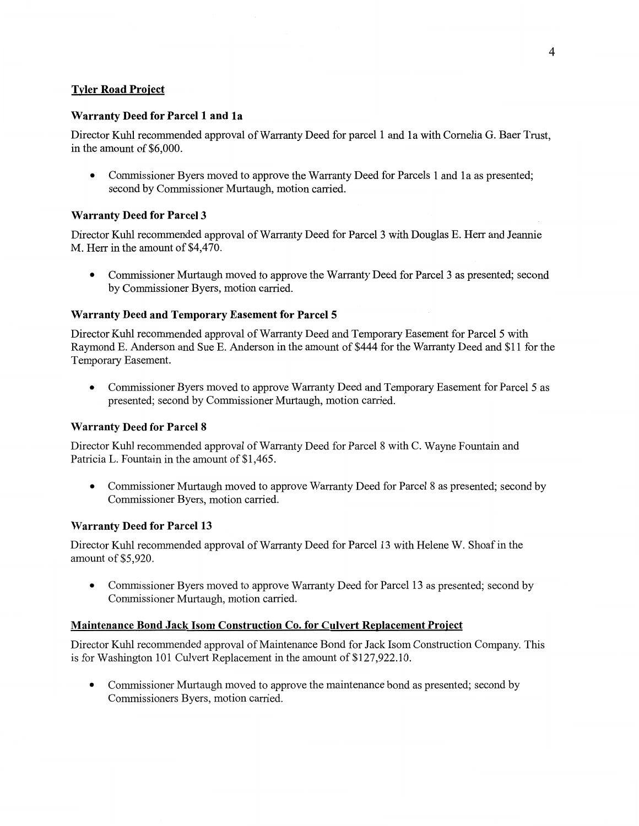# **Tyler Road Project Tyler Road Project**

## **Warranty Deed for Parcel 1 and 1a Warranty Deed** for **Parcel** 1 and 1a

Director Kuhl recommended approval of Warranty Deed for parcel 1 and 1a with Cornelia G. Baer Trust, **in the amount of** \$6,000. in the **amount** of \$6,000.

• Commissioner Byers moved to approve the Warranty Deed for Parcels 1 and 1a as presented; **second by Commissioner Murtaugh, motion carried.**  second by Commissioner Murtaugh, **motion** carried.

## **Warranty Deed for Parcel 3 Warranty Deed** for **Parcel 3**

Director Kuhl recommended approval of Warranty Deed for Parcel 3 with Douglas E. Herr and Jeannie **M. Herr in the amount of** \$4,470. M. Herr in the amount of \$4,470.

• Commissioner Murtaugh moved to approve the Warranty Deed for Parcel 3 as presented; second **by Commissioner Byers, motion carried.**  by **Commissioner** Byers, motion carried.

## **Warranty Deed and Temporary Easement for Parcel** 5 **Warranty Deed** and **Temporary Easement** for **Parcel 5**

**Director Kuhl recommended approval of Warranty Deed and Temporary Easement for Parcel** 5 **with**  Director Kuhl recommended approval of Warranty Deed and Temporary Easement for Parcel 5 with Raymond E. Anderson and Sue E. Anderson in the amount of \$444 for the Warranty Deed and \$11 for the **Temporary Easement.**  Temporary Basement.

• Commissioner Byers moved to approve Warranty Deed and Temporary Easement for Parcel 5 as presented; second by Commissioner Murtaugh, motion carried. **presented; second by Commissioner Murtaugh, motion carried.** 

### **Warranty Deed for Parcel 8 Warranty Deed** for **Parcel 8**

Director Kuhl recommended approval of Warranty Deed for Parcel 8 with C. Wayne Fountain and **Patricia L. Fountain in the amount of** \$1,465. Patricia L. Fountain in the **amount** of \$1,465.

• Commissioner Murtaugh moved to approve Warranty Deed for Parcel 8 as presented; second by **Commissioner Byers, motion carried.**  Commissioner Byers, motion carried.

### **Warranty Deed for Parcel 13 Warranty Deed** for **Parcel** 13

Director Kuhl recommended approval of Warranty Deed for Parcel 13 with Helene W. Shoaf in the **amount of** \$5,920. amount of \$5,920.

• Commissioner Byers moved to approve Warranty Deed for Parcel 13 as presented; second by **Commissioner Murtaugh, motion carried. Commissioner** Murtaugh, motion canied.

#### **Maintenance Bond Jack Isom Construction Co. for Culvert Replacement Project**

Director Kuhl recommended approval of Maintenance Bond for Jack Isom Construction Company. This **is for Washington 101 Culvert Replacement in the amount of** \$127,922.10. is for Washington 101 Culvert Replacement in the amount of **\$127,922.10.** 

• Commissioner Murtaugh moved to approve the maintenance bond as presented; second by Commissioners Byers, motion carried. **Commissioners Byers, motion carried.**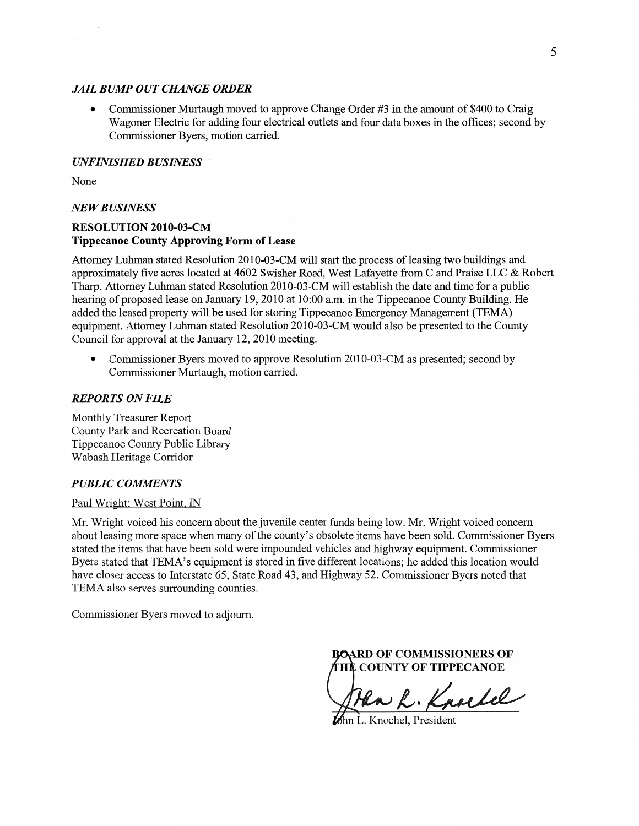#### *JAIL* B WP OUT CHANGE *ORDER JAIL BURfl'* OUT *CHANGE ORDER*

• Commissioner Murtaugh moved to approve Change Order #3 in the amount of \$400 to Craig Wagoner Electric for adding four electrical outlets and four data boxes in the offices; second by Commissioner Byers, motion carried. Commissioner Byers, motion carried.

#### (HVFINISHED *BUSINESS UNFINISHED BUSINESS*

None None

#### NE *W B USINESS*  NE *W B USINESS*

## **RESOLUTION** 2010-03-CM **RESOLUTION 2010-03-CM**  Tippecanoe County Approving Form of Lease **Tippecanoe County Approving Form** of **Lease**

Attomey Luhman stated Resolution 2010-03—CM will start the process of leasing two buildings and Attorney **Luhman** stated Resolution 2010-03—CM will start the process of leasing two buildings and approximately five acres located at 4602 Swisher Road, West Lafayette from C and Praise LLC & Robert<br>Tharp. Attorney Luhman stated Resolution 2010-03-CM will establish the date and time for a public Tharp. Attorney Luhman stated Resolution 2010-03-CM will establish the date and time for a public hearing of proposed lease on January 19, 2010 at 10:00 am. in the Tippecanoe County Building. He hearing of proposed lease on January 19, 2010 at 10:00 am. in the **Tippecanoe** County Building. He added the leased property will be used for storing Tippecanoe Emergency Management (TEMA) added the leased property will be used for storing Tippecanoe Emergency Management (TEMA)<br>equipment. Attorney Luhman stated Resolution 2010-03-CM would also be presented to the County Council for approval at the January 12, 2010 meeting. **Council** for approval at the January 12, 2010 **meeting.** 

• Commissioner Byers moved to approve Resolution 2010-03-CM as presented; second by Commissioner Murtaugh, motion carried. Commissioner Murtaugh, **motion** canied.

#### REPORTS ON *FILE REPORTS* ON *FILE*

Monthly Treasurer Report Monthly Treasurer Report County Park and Recreation Board County Park and Recreation Board Tippecanoe County Public Library Tippecanoe County **Public** Library Wabash Heritage Corridor Wabash Heritage Corridor

# $PUBLIC$  *COMMENTS*

#### Paul Wright; West Point, IN **Paul** Wright; West **Point,** IN

Mr. Wright voiced his concern about the juvenile center funds being low. Mr. Wright voiced concern about leasing more space when many of the county's obsolete items have been sold. Commissioner Byers<br>stated the items that have been sold were impounded vehicles and highway equipment. Commissioner stated the items that have been sold were impounded vehicles and highway equipment. Commissioner Byers stated that TEMA's equipment is stored in five different locations; he added this location would Byers stated that TEMA's equipment is stored in five different locations; he added this **location** would have closer access to Interstate 65, State Road 43, and Highway 52. Commissioner Byers noted that **have** closer access to Interstate 65, State Road 43, and Highway 52. Commissioner Byers **noted that**  TEMA also serves surrounding counties. **TEMA** also serves surrounding counties.

Commissioner Byers moved to adjourn. **Commissioner** Byers moved to adjourn.

OF **COMMISSIONERS** OF OF **COMMISSIONERS** OF **COUNTY** OF TII'PECANOE **COUNTY** OF **TIPPECANOE** 

Ha L. Knockel

Mm L. Knochel, President fin 'L. Knochcl, President